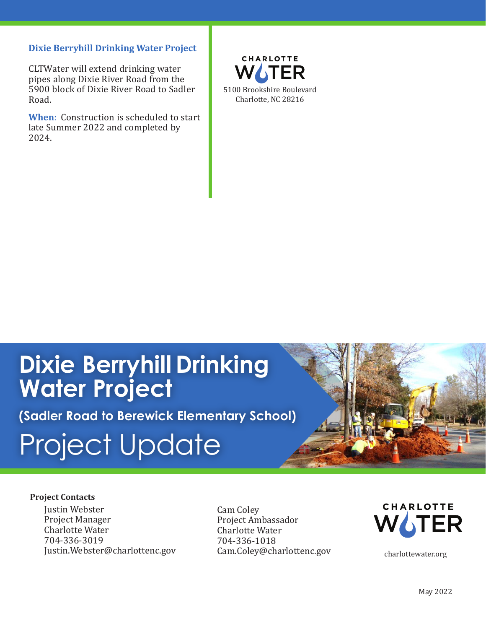### **Dixie Berryhill Drinking Water Project**

CLTWater will extend drinking water pipes along Dixie River Road from the 5900 block of Dixie River Road to Sadler Road.

**When**: Construction is scheduled to start late Summer 2022 and completed by 2024.



## **Dixie Berryhill Drinking Water Project**

**(Sadler Road to Berewick Elementary School)**

# Project Update

#### **Project Contacts**

Justin Webster Project Manager Charlotte Water 704-336-3019 Justin.Webster@charlottenc.gov Cam Coley Project Ambassador Charlotte Water 704-336-1018 Cam.Coley@charlottenc.gov



charlottewater.org